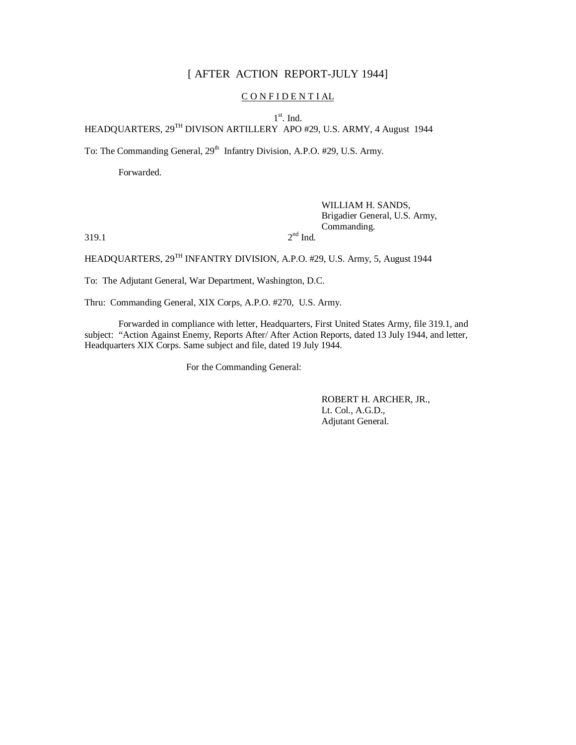# [ AFTER ACTION REPORT-JULY 1944]

## CONFIDENTIAL

1<sup>st</sup>. Ind.

HEADQUARTERS, 29TH DIVISON ARTILLERY APO #29, U.S. ARMY, 4 August 1944

To: The Commanding General, 29<sup>th</sup> Infantry Division, A.P.O. #29, U.S. Army.

Forwarded.

# WILLIAM H. SANDS, Brigadier General, U.S. Army, Commanding.

 $319.1$  2

 $2<sup>nd</sup>$  Ind.

HEADQUARTERS,  $29^{TH}$  INFANTRY DIVISION, A.P.O. #29, U.S. Army, 5, August 1944

To: The Adjutant General, War Department, Washington, D.C.

Thru: Commanding General, XIX Corps, A.P.O. #270, U.S. Army.

Forwarded in compliance with letter, Headquarters, First United States Army, file 319.1, and subject: "Action Against Enemy, Reports After/ After Action Reports, dated 13 July 1944, and letter, Headquarters XIX Corps. Same subject and file, dated 19 July 1944.

For the Commanding General:

ROBERT H. ARCHER, JR., Lt. Col., A.G.D., Adjutant General.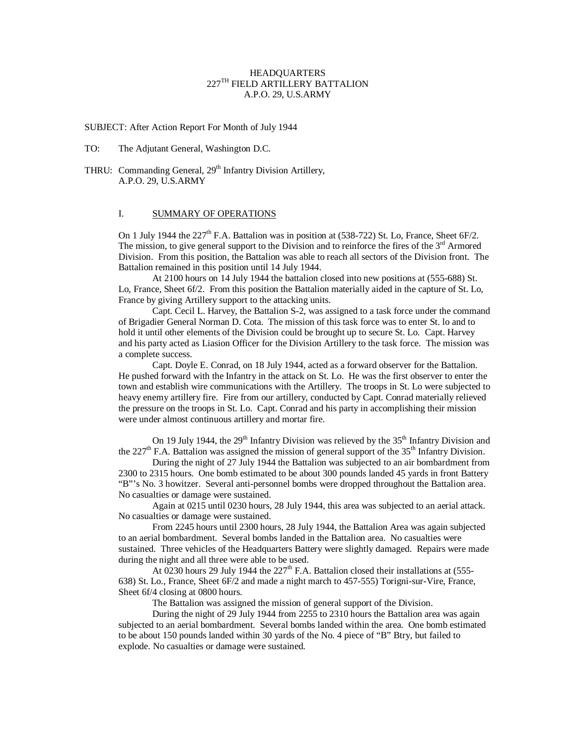## HEADQUARTERS 227TH FIELD ARTILLERY BATTALION A.P.O. 29, U.S.ARMY

SUBJECT: After Action Report For Month of July 1944

TO: The Adjutant General, Washington D.C.

THRU: Commanding General, 29<sup>th</sup> Infantry Division Artillery, A.P.O. 29, U.S.ARMY

### I. SUMMARY OF OPERATIONS

On 1 July 1944 the 227<sup>th</sup> F.A. Battalion was in position at (538-722) St. Lo, France, Sheet 6F/2. The mission, to give general support to the Division and to reinforce the fires of the  $3<sup>rd</sup>$  Armored Division. From this position, the Battalion was able to reach all sectors of the Division front. The Battalion remained in this position until 14 July 1944.

At 2100 hours on 14 July 1944 the battalion closed into new positions at (555-688) St. Lo, France, Sheet 6f/2. From this position the Battalion materially aided in the capture of St. Lo, France by giving Artillery support to the attacking units.

Capt. Cecil L. Harvey, the Battalion S-2, was assigned to a task force under the command of Brigadier General Norman D. Cota. The mission of this task force was to enter St. lo and to hold it until other elements of the Division could be brought up to secure St. Lo. Capt. Harvey and his party acted as Liasion Officer for the Division Artillery to the task force. The mission was a complete success.

Capt. Doyle E. Conrad, on 18 July 1944, acted as a forward observer for the Battalion. He pushed forward with the Infantry in the attack on St. Lo. He was the first observer to enter the town and establish wire communications with the Artillery. The troops in St. Lo were subjected to heavy enemy artillery fire. Fire from our artillery, conducted by Capt. Conrad materially relieved the pressure on the troops in St. Lo. Capt. Conrad and his party in accomplishing their mission were under almost continuous artillery and mortar fire.

On 19 July 1944, the  $29<sup>th</sup>$  Infantry Division was relieved by the  $35<sup>th</sup>$  Infantry Division and the 227<sup>th</sup> F.A. Battalion was assigned the mission of general support of the 35<sup>th</sup> Infantry Division.

During the night of 27 July 1944 the Battalion was subjected to an air bombardment from 2300 to 2315 hours. One bomb estimated to be about 300 pounds landed 45 yards in front Battery "B"'s No. 3 howitzer. Several anti-personnel bombs were dropped throughout the Battalion area. No casualties or damage were sustained.

Again at 0215 until 0230 hours, 28 July 1944, this area was subjected to an aerial attack. No casualties or damage were sustained.

From 2245 hours until 2300 hours, 28 July 1944, the Battalion Area was again subjected to an aerial bombardment. Several bombs landed in the Battalion area. No casualties were sustained. Three vehicles of the Headquarters Battery were slightly damaged. Repairs were made during the night and all three were able to be used.

At 0230 hours 29 July 1944 the  $227<sup>th</sup>$  F.A. Battalion closed their installations at (555-638) St. Lo., France, Sheet 6F/2 and made a night march to 457-555) Torigni-sur-Vire, France, Sheet 6f/4 closing at 0800 hours.

The Battalion was assigned the mission of general support of the Division.

During the night of 29 July 1944 from 2255 to 2310 hours the Battalion area was again subjected to an aerial bombardment. Several bombs landed within the area. One bomb estimated to be about 150 pounds landed within 30 yards of the No. 4 piece of "B" Btry, but failed to explode. No casualties or damage were sustained.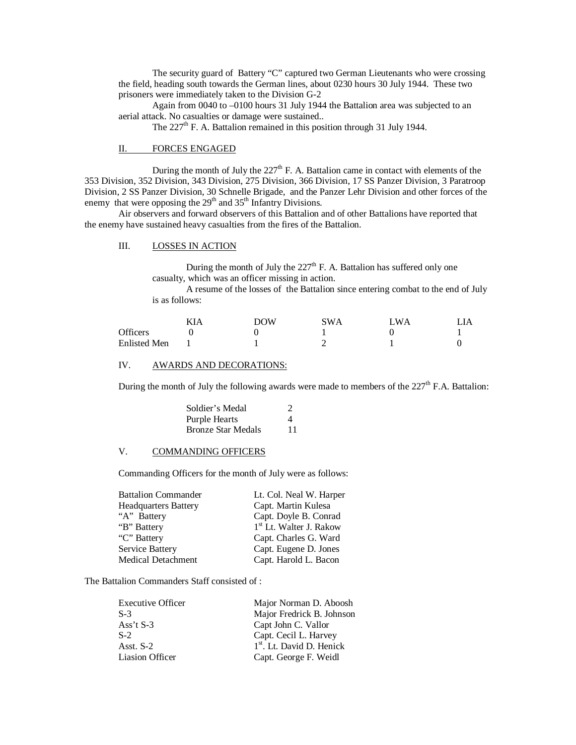The security guard of Battery "C" captured two German Lieutenants who were crossing the field, heading south towards the German lines, about 0230 hours 30 July 1944. These two prisoners were immediately taken to the Division G-2

Again from 0040 to –0100 hours 31 July 1944 the Battalion area was subjected to an aerial attack. No casualties or damage were sustained..

The 227<sup>th</sup> F. A. Battalion remained in this position through 31 July 1944.

### II. FORCES ENGAGED

During the month of July the  $227<sup>th</sup>$  F. A. Battalion came in contact with elements of the 353 Division, 352 Division, 343 Division, 275 Division, 366 Division, 17 SS Panzer Division, 3 Paratroop Division, 2 SS Panzer Division, 30 Schnelle Brigade, and the Panzer Lehr Division and other forces of the enemy that were opposing the  $29<sup>th</sup>$  and  $35<sup>th</sup>$  Infantry Divisions.

Air observers and forward observers of this Battalion and of other Battalions have reported that the enemy have sustained heavy casualties from the fires of the Battalion.

#### III. LOSSES IN ACTION

During the month of July the  $227<sup>th</sup>$  F. A. Battalion has suffered only one casualty, which was an officer missing in action.

A resume of the losses of the Battalion since entering combat to the end of July is as follows:

|                     | KIA | DOW | <b>SWA</b> | <sup>T</sup> WA |  |
|---------------------|-----|-----|------------|-----------------|--|
| <b>Officers</b>     |     |     |            |                 |  |
| <b>Enlisted Men</b> |     |     |            |                 |  |

#### IV. AWARDS AND DECORATIONS:

During the month of July the following awards were made to members of the  $227<sup>th</sup>$  F.A. Battalion:

| Soldier's Medal           | 2  |
|---------------------------|----|
| <b>Purple Hearts</b>      | Δ  |
| <b>Bronze Star Medals</b> | 11 |

#### V. COMMANDING OFFICERS

Commanding Officers for the month of July were as follows:

| <b>Battalion Commander</b>  | Lt. Col. Neal W. Harper             |
|-----------------------------|-------------------------------------|
| <b>Headquarters Battery</b> | Capt. Martin Kulesa                 |
| "A" Battery                 | Capt. Doyle B. Conrad               |
| "B" Battery                 | 1 <sup>st</sup> Lt. Walter J. Rakow |
| "C" Battery"                | Capt. Charles G. Ward               |
| Service Battery             | Capt. Eugene D. Jones               |
| <b>Medical Detachment</b>   | Capt. Harold L. Bacon               |
|                             |                                     |

The Battalion Commanders Staff consisted of :

| <b>Executive Officer</b> | Major Norman D. Aboosh                |
|--------------------------|---------------------------------------|
| $S-3$                    | Major Fredrick B. Johnson             |
| Ass't $S-3$              | Capt John C. Vallor                   |
| $S-2$                    | Capt. Cecil L. Harvey                 |
| Asst. $S-2$              | 1 <sup>st</sup> . Lt. David D. Henick |
| Liasion Officer          | Capt. George F. Weidl                 |